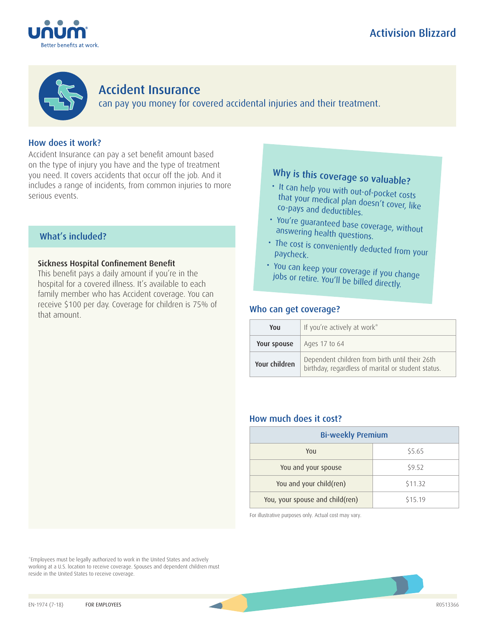





## Accident Insurance

can pay you money for covered accidental injuries and their treatment.

## How does it work?

Accident Insurance can pay a set benefit amount based on the type of injury you have and the type of treatment you need. It covers accidents that occur off the job. And it includes a range of incidents, from common injuries to more serious events.

## What's included?

### Sickness Hospital Confinement Benefit

This benefit pays a daily amount if you're in the hospital for a covered illness. It's available to each family member who has Accident coverage. You can receive \$100 per day. Coverage for children is 75% of that amount.

# Why is this coverage so valuable?

- It can help you with out-of-pocket costs that your medical plan doesn't cover, like co-pays and deductibles.
- You're guaranteed base coverage, without answering health questions.
- The cost is conveniently deducted from your paycheck.
- You can keep your coverage if you change jobs or retire. You'll be billed directly.

## Who can get coverage?

| You           | If you're actively at work*                                                                          |
|---------------|------------------------------------------------------------------------------------------------------|
| Your spouse   | Ages 17 to 64                                                                                        |
| Your children | Dependent children from birth until their 26th<br>birthday, regardless of marital or student status. |

## How much does it cost?

| <b>Bi-weekly Premium</b>        |         |  |
|---------------------------------|---------|--|
| You                             | \$5.65  |  |
| You and your spouse             | \$9.52  |  |
| You and your child(ren)         | \$11.32 |  |
| You, your spouse and child(ren) | \$15.19 |  |

For illustrative purposes only. Actual cost may vary.

\*Employees must be legally authorized to work in the United States and actively working at a U.S. location to receive coverage. Spouses and dependent children must reside in the United States to receive coverage.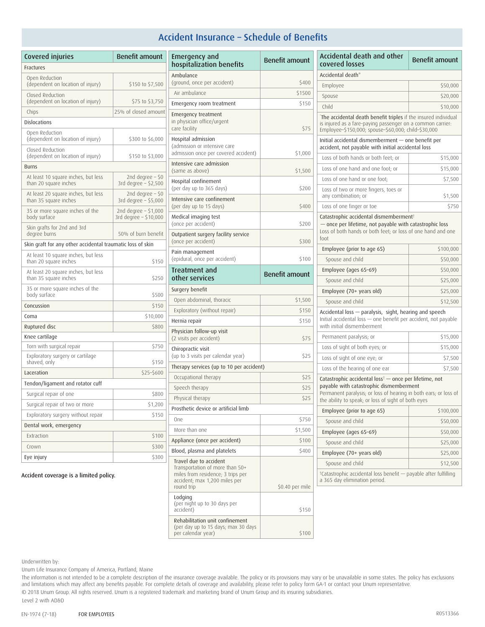## Accident Insurance – Schedule of Benefits

| <b>Covered injuries</b>                                      | <b>Benefit amount</b>                           |  |  |  |
|--------------------------------------------------------------|-------------------------------------------------|--|--|--|
| Fractures                                                    |                                                 |  |  |  |
| Open Reduction<br>(dependent on location of injury)          | \$150 to \$7,500                                |  |  |  |
| Closed Reduction<br>(dependent on location of injury)        | \$75 to \$3,750                                 |  |  |  |
| Chips                                                        | 25% of closed amount                            |  |  |  |
| Dislocations                                                 |                                                 |  |  |  |
| Open Reduction<br>(dependent on location of injury)          | \$300 to \$6,000                                |  |  |  |
| Closed Reduction<br>(dependent on location of injury)        | \$150 to \$3,000                                |  |  |  |
| Burns                                                        |                                                 |  |  |  |
| At least 10 square inches, but less<br>than 20 square inches | 2nd degree $-50$<br>3rd degree - \$2,500        |  |  |  |
| At least 20 square inches, but less<br>than 35 square inches | 2nd degree $-50$<br>3rd degree - \$5,000        |  |  |  |
| 35 or more square inches of the<br>body surface              | 2nd degree $-$ \$1,000<br>3rd degree - \$10,000 |  |  |  |
| Skin grafts for 2nd and 3rd<br>degree burns                  | 50% of burn benefit                             |  |  |  |
| Skin graft for any other accidental traumatic loss of skin   |                                                 |  |  |  |
| At least 10 square inches, but less<br>than 20 square inches | \$150                                           |  |  |  |
| At least 20 square inches, but less<br>than 35 square inches | \$250                                           |  |  |  |
| 35 or more square inches of the<br>body surface              | \$500                                           |  |  |  |
| Concussion                                                   | \$150                                           |  |  |  |
| Coma                                                         | \$10,000                                        |  |  |  |
| Ruptured disc                                                | \$800                                           |  |  |  |
| Knee cartilage                                               |                                                 |  |  |  |
| Torn with surgical repair                                    | \$750                                           |  |  |  |
| Exploratory surgery or cartilage<br>shaved, only             | \$150                                           |  |  |  |
| Laceration                                                   | \$25-\$600                                      |  |  |  |
| Tendon/ligament and rotator cuff                             |                                                 |  |  |  |
| Surgical repair of one                                       | \$800                                           |  |  |  |
| Surgical repair of two or more                               | \$1,200                                         |  |  |  |
| Exploratory surgery without repair                           | \$150                                           |  |  |  |
| Dental work, emergency                                       |                                                 |  |  |  |
| Extraction                                                   | \$100                                           |  |  |  |
| Crown                                                        | \$300                                           |  |  |  |
| Eye injury                                                   | \$300                                           |  |  |  |

| Emergency and<br>hospitalization benefits                                                                                                     | <b>Benefit amount</b> |
|-----------------------------------------------------------------------------------------------------------------------------------------------|-----------------------|
| Ambulance<br>(ground, once per accident)                                                                                                      | \$400                 |
| Air ambulance                                                                                                                                 | \$1500                |
| Emergency room treatment                                                                                                                      | \$150                 |
| Emergency treatment<br>in physician office/urgent<br>care facility                                                                            | \$75                  |
| Hospital admission<br>(admission or intensive care<br>admission once per covered accident)                                                    | \$1,000               |
| Intensive care admission<br>(same as above)                                                                                                   | \$1,500               |
| Hospital confinement<br>(per day up to 365 days)                                                                                              | \$200                 |
| Intensive care confinement<br>(per day up to 15 days)                                                                                         | \$400                 |
| Medical imaging test<br>(once per accident)                                                                                                   | \$200                 |
| Outpatient surgery facility service<br>(once per accident)                                                                                    | \$300                 |
| Pain management<br>(epidural, once per accident)                                                                                              | \$100                 |
| Treatment and<br>other services                                                                                                               | <b>Benefit amount</b> |
| Surgery benefit                                                                                                                               |                       |
| Open abdominal, thoracic                                                                                                                      | \$1,500               |
| Exploratory (without repair)                                                                                                                  | \$150                 |
| Hernia repair                                                                                                                                 | \$150                 |
| Physician follow-up visit<br>(2 visits per accident)                                                                                          | \$75                  |
| Chiropractic visit<br>(up to 3 visits per calendar year)                                                                                      | \$25                  |
| Therapy services (up to 10 per accident)                                                                                                      |                       |
| Occupational therapy                                                                                                                          | \$25                  |
| Speech therapy                                                                                                                                | \$25                  |
| Physical therapy                                                                                                                              | \$25                  |
| Prosthetic device or artificial limb                                                                                                          |                       |
| One                                                                                                                                           | \$750                 |
| More than one                                                                                                                                 | \$1,500               |
| Appliance (once per accident)                                                                                                                 | \$100                 |
| Blood, plasma and platelets                                                                                                                   | \$400                 |
| Travel due to accident<br>Transportation of more than 50+<br>miles from residence; 3 trips per<br>accident; max 1,200 miles per<br>round trip | \$0.40 per mile       |
| Lodging<br>(per night up to 30 days per<br>accident)                                                                                          | \$150                 |
| Rehabilitation unit confinement<br>(per day up to 15 days; max 30 days<br>per calendar year)                                                  | \$100                 |

| <b>Accidental death and other</b><br>covered losses                                                                                                                                                                                   | <b>Benefit amount</b> |
|---------------------------------------------------------------------------------------------------------------------------------------------------------------------------------------------------------------------------------------|-----------------------|
| Accidental death <sup>*</sup>                                                                                                                                                                                                         |                       |
| Employee                                                                                                                                                                                                                              | \$50,000              |
| Spouse                                                                                                                                                                                                                                | \$20,000              |
| Child                                                                                                                                                                                                                                 | \$10,000              |
| *The accidental death benefit triples if the insured individual<br>is injured as a fare-paying passenger on a common carrier:<br>Employee-\$150,000; spouse-\$60,000; child-\$30,000                                                  |                       |
| Initial accidental dismemberment - one benefit per<br>accident, not payable with initial accidental loss                                                                                                                              |                       |
| Loss of both hands or both feet; or                                                                                                                                                                                                   | \$15,000              |
| Loss of one hand and one foot; or                                                                                                                                                                                                     | \$15,000              |
| Loss of one hand or one foot;                                                                                                                                                                                                         | \$7,500               |
| Loss of two or more fingers, toes or<br>any combination; or                                                                                                                                                                           | \$1,500               |
| Loss of one finger or toe                                                                                                                                                                                                             | \$750                 |
| Loss of both hands or both feet; or loss of one hand and one<br>foot<br>Employee (prior to age 65)                                                                                                                                    | \$100,000             |
|                                                                                                                                                                                                                                       |                       |
| Spouse and child                                                                                                                                                                                                                      | \$50,000              |
| Employee (ages 65-69)                                                                                                                                                                                                                 | \$50,000              |
| Spouse and child                                                                                                                                                                                                                      | \$25,000              |
| Employee (70+ years old)<br>Spouse and child                                                                                                                                                                                          | \$25,000<br>\$12,500  |
| Accidental loss - paralysis, sight, hearing and speech<br>Initial accidental loss - one benefit per accident, not payable<br>with initial dismemberment                                                                               |                       |
| Permanent paralysis; or                                                                                                                                                                                                               | \$15,000              |
| Loss of sight of both eyes; or                                                                                                                                                                                                        | \$15,000              |
| Loss of sight of one eye; or                                                                                                                                                                                                          | \$7,500               |
| Loss of the hearing of one ear                                                                                                                                                                                                        | \$7,500               |
| Catastrophic accidental loss $\dagger$ — once per lifetime, not<br>payable with catastrophic dismemberment<br>Permanent paralysis; or loss of hearing in both ears; or loss of<br>the ability to speak; or loss of sight of both eyes |                       |
| Employee (prior to age 65)                                                                                                                                                                                                            | \$100,000             |
| Spouse and child                                                                                                                                                                                                                      | \$50,000              |
| Employee (ages 65-69)                                                                                                                                                                                                                 | \$50,000              |
| Spouse and child                                                                                                                                                                                                                      | \$25,000              |
| Employee (70+ years old)                                                                                                                                                                                                              | \$25,000              |
| Spouse and child                                                                                                                                                                                                                      | \$12,500              |
| †Catastrophic accidental loss benefit - payable after fulfilling<br>a 365 day elimination period.                                                                                                                                     |                       |

Accident coverage is a limited policy.

Underwritten by:

Unum Life Insurance Company of America, Portland, Maine

The information is not intended to be a complete description of the insurance coverage available. The policy or its provisions may vary or be unavailable in some states. The policy has exclusions and limitations which may affect any benefits payable. For complete details of coverage and availability, please refer to policy form GA-1 or contact your Unum representative. © 2018 Unum Group. All rights reserved. Unum is a registered trademark and marketing brand of Unum Group and its insuring subsidiaries.

Level 2 with AD&D